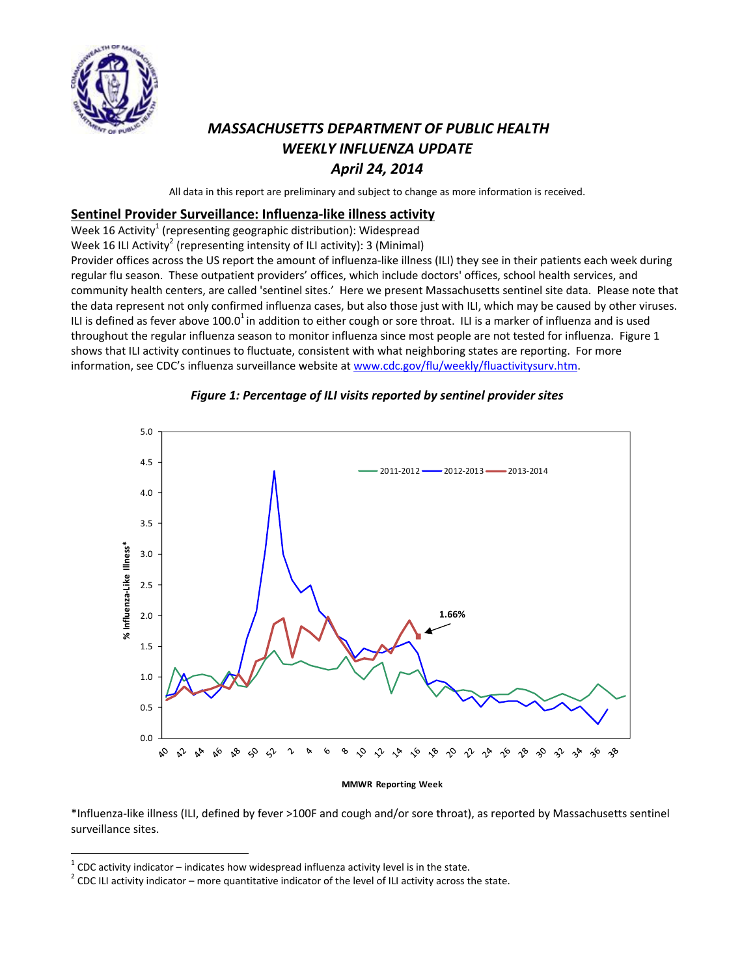

# *MASSACHUSETTS DEPARTMENT OF PUBLIC HEALTH WEEKLY INFLUENZA UPDATE April 24, 2014*

All data in this report are preliminary and subject to change as more information is received.

### **Sentinel Provider Surveillance: Influenza‐like illness activity**

Week 16 Activity<sup>1</sup> (representing geographic distribution): Widespread

Week 16 ILI Activity<sup>2</sup> (representing intensity of ILI activity): 3 (Minimal)

Provider offices across the US report the amount of influenza‐like illness (ILI) they see in their patients each week during regular flu season. These outpatient providers' offices, which include doctors' offices, school health services, and community health centers, are called 'sentinel sites.' Here we present Massachusetts sentinel site data. Please note that the data represent not only confirmed influenza cases, but also those just with ILI, which may be caused by other viruses. ILI is defined as fever above 100.0<sup>1</sup> in addition to either cough or sore throat. ILI is a marker of influenza and is used throughout the regular influenza season to monitor influenza since most people are not tested for influenza. Figure 1 shows that ILI activity continues to fluctuate, consistent with what neighboring states are reporting. For more information, see CDC's influenza surveillance website at www.cdc.gov/flu/weekly/fluactivitysurv.htm.



#### *Figure 1: Percentage of ILI visits reported by sentinel provider sites*

**MMWR Reporting Week**

\*Influenza‐like illness (ILI, defined by fever >100F and cough and/or sore throat), as reported by Massachusetts sentinel surveillance sites.

 $1$  CDC activity indicator – indicates how widespread influenza activity level is in the state.

<sup>&</sup>lt;sup>2</sup> CDC ILI activity indicator – more quantitative indicator of the level of ILI activity across the state.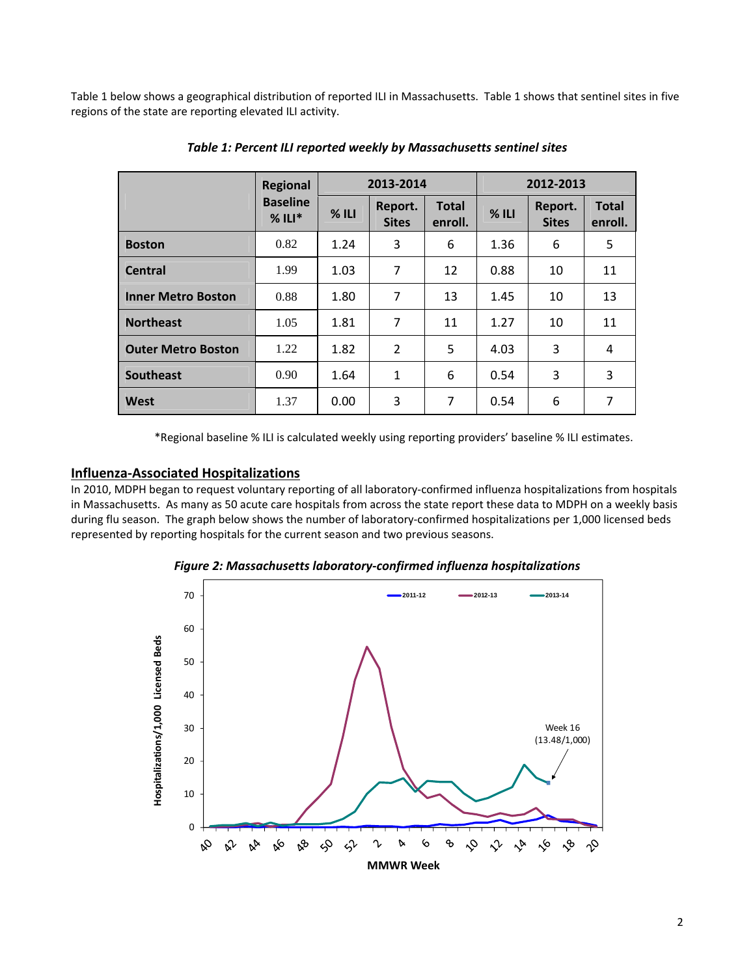Table 1 below shows a geographical distribution of reported ILI in Massachusetts. Table 1 shows that sentinel sites in five regions of the state are reporting elevated ILI activity.

|                           | <b>Regional</b>             |         | 2013-2014               |                         | 2012-2013 |                         |                         |  |
|---------------------------|-----------------------------|---------|-------------------------|-------------------------|-----------|-------------------------|-------------------------|--|
|                           | <b>Baseline</b><br>$%$ ILI* | $%$ ILI | Report.<br><b>Sites</b> | <b>Total</b><br>enroll. | $%$ ILI   | Report.<br><b>Sites</b> | <b>Total</b><br>enroll. |  |
| <b>Boston</b>             | 0.82                        | 1.24    | 3                       | 6                       | 1.36      | 6                       | 5                       |  |
| <b>Central</b>            | 1.99                        | 1.03    | $\overline{7}$          | 12                      | 0.88      | 10                      | 11                      |  |
| <b>Inner Metro Boston</b> | 0.88                        | 1.80    | 7                       | 13                      | 1.45      | 10                      | 13                      |  |
| <b>Northeast</b>          | 1.05                        | 1.81    | 7                       | 11                      | 1.27      | 10                      | 11                      |  |
| <b>Outer Metro Boston</b> | 1.22                        | 1.82    | 2                       | 5                       | 4.03      | 3                       | 4                       |  |
| <b>Southeast</b>          | 0.90                        | 1.64    | $\mathbf{1}$            | 6                       | 0.54      | 3                       | 3                       |  |
| West                      | 1.37                        | 0.00    | 3                       | 7                       | 0.54      | 6                       | 7                       |  |

*Table 1: Percent ILI reported weekly by Massachusetts sentinel sites*

\*Regional baseline % ILI is calculated weekly using reporting providers' baseline % ILI estimates.

#### **Influenza‐Associated Hospitalizations**

In 2010, MDPH began to request voluntary reporting of all laboratory‐confirmed influenza hospitalizations from hospitals in Massachusetts. As many as 50 acute care hospitals from across the state report these data to MDPH on a weekly basis during flu season. The graph below shows the number of laboratory-confirmed hospitalizations per 1,000 licensed beds represented by reporting hospitals for the current season and two previous seasons.



*Figure 2: Massachusetts laboratory‐confirmed influenza hospitalizations*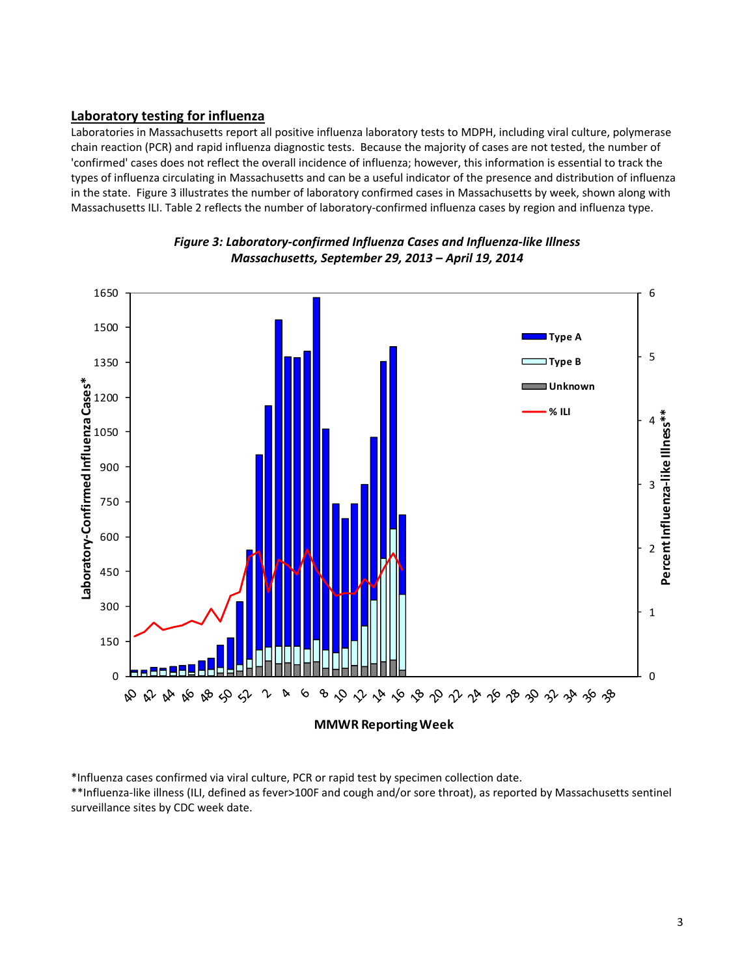## **Laboratory testing for influenza**

Laboratories in Massachusetts report all positive influenza laboratory tests to MDPH, including viral culture, polymerase chain reaction (PCR) and rapid influenza diagnostic tests. Because the majority of cases are not tested, the number of 'confirmed' cases does not reflect the overall incidence of influenza; however, this information is essential to track the types of influenza circulating in Massachusetts and can be a useful indicator of the presence and distribution of influenza in the state. Figure 3 illustrates the number of laboratory confirmed cases in Massachusetts by week, shown along with Massachusetts ILI. Table 2 reflects the number of laboratory-confirmed influenza cases by region and influenza type.





\*Influenza cases confirmed via viral culture, PCR or rapid test by specimen collection date.

\*\*Influenza‐like illness (ILI, defined as fever>100F and cough and/or sore throat), as reported by Massachusetts sentinel surveillance sites by CDC week date.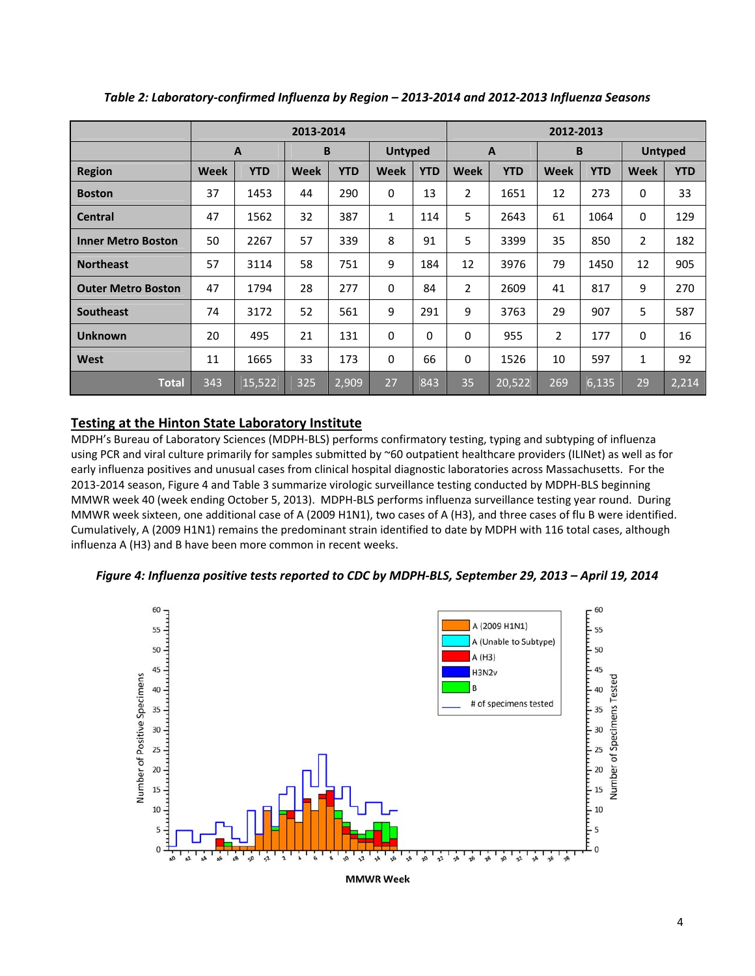|                           | 2013-2014   |            |             |            |                                | 2012-2013   |             |            |                |            |             |            |
|---------------------------|-------------|------------|-------------|------------|--------------------------------|-------------|-------------|------------|----------------|------------|-------------|------------|
|                           |             | B<br>A     |             |            | <b>Untyped</b><br>$\mathbf{A}$ |             | B           |            | <b>Untyped</b> |            |             |            |
| <b>Region</b>             | <b>Week</b> | <b>YTD</b> | <b>Week</b> | <b>YTD</b> | <b>Week</b>                    | <b>YTD</b>  | <b>Week</b> | <b>YTD</b> | Week           | <b>YTD</b> | Week        | <b>YTD</b> |
| <b>Boston</b>             | 37          | 1453       | 44          | 290        | 0                              | 13          | 2           | 1651       | 12             | 273        | $\mathbf 0$ | 33         |
| <b>Central</b>            | 47          | 1562       | 32          | 387        | 1                              | 114         | 5           | 2643       | 61             | 1064       | 0           | 129        |
| <b>Inner Metro Boston</b> | 50          | 2267       | 57          | 339        | 8                              | 91          | 5           | 3399       | 35             | 850        | 2           | 182        |
| <b>Northeast</b>          | 57          | 3114       | 58          | 751        | 9                              | 184         | 12          | 3976       | 79             | 1450       | 12          | 905        |
| <b>Outer Metro Boston</b> | 47          | 1794       | 28          | 277        | $\Omega$                       | 84          | 2           | 2609       | 41             | 817        | 9           | 270        |
| <b>Southeast</b>          | 74          | 3172       | 52          | 561        | 9                              | 291         | 9           | 3763       | 29             | 907        | 5           | 587        |
| <b>Unknown</b>            | 20          | 495        | 21          | 131        | 0                              | $\mathbf 0$ | $\mathbf 0$ | 955        | $\overline{2}$ | 177        | $\mathbf 0$ | 16         |
| <b>West</b>               | 11          | 1665       | 33          | 173        | 0                              | 66          | $\Omega$    | 1526       | 10             | 597        | 1           | 92         |
| <b>Total</b>              | 343         | 15,522     | 325         | 2,909      | 27                             | 843         | 35          | 20,522     | 269            | 6,135      | 29          | 2,214      |

*Table 2: Laboratory‐confirmed Influenza by Region – 2013‐2014 and 2012‐2013 Influenza Seasons*

## **Testing at the Hinton State Laboratory Institute**

MDPH's Bureau of Laboratory Sciences (MDPH‐BLS) performs confirmatory testing, typing and subtyping of influenza using PCR and viral culture primarily for samples submitted by ~60 outpatient healthcare providers (ILINet) as well as for early influenza positives and unusual cases from clinical hospital diagnostic laboratories across Massachusetts. For the 2013‐2014 season, Figure 4 and Table 3 summarize virologic surveillance testing conducted by MDPH‐BLS beginning MMWR week 40 (week ending October 5, 2013). MDPH‐BLS performs influenza surveillance testing year round. During MMWR week sixteen, one additional case of A (2009 H1N1), two cases of A (H3), and three cases of flu B were identified. Cumulatively, A (2009 H1N1) remains the predominant strain identified to date by MDPH with 116 total cases, although influenza A (H3) and B have been more common in recent weeks.